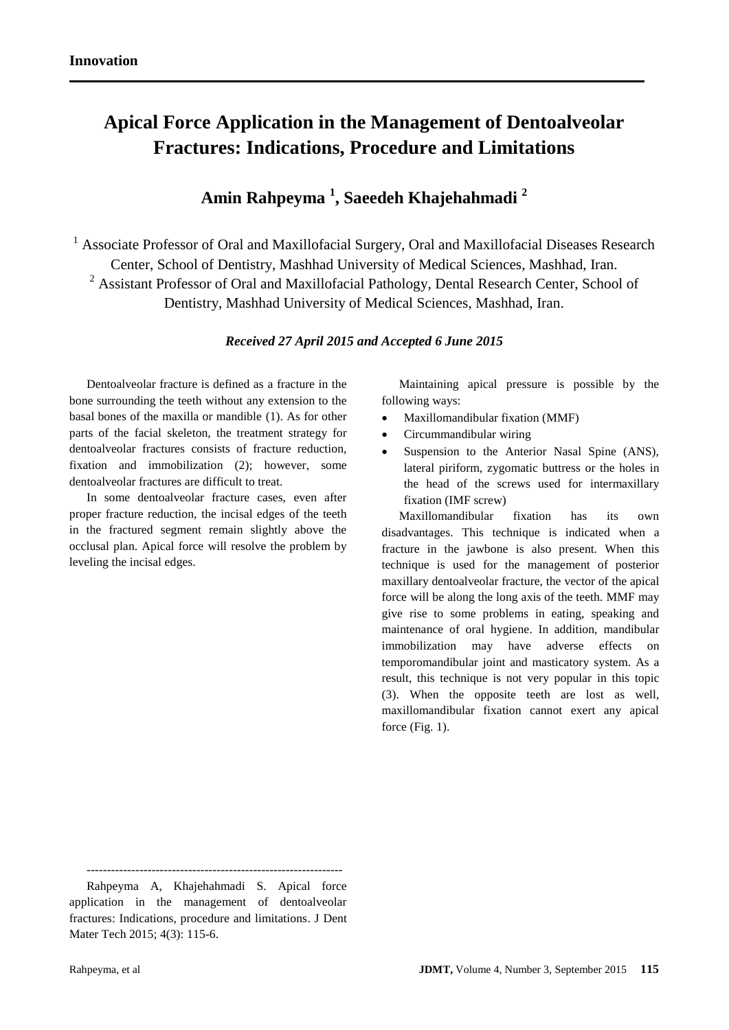# **Apical Force Application in the Management of Dentoalveolar Fractures: Indications, Procedure and Limitations**

# **Amin Rahpeyma <sup>1</sup> , Saeedeh Khajehahmadi <sup>2</sup>**

<sup>1</sup> Associate Professor of Oral and Maxillofacial Surgery, Oral and Maxillofacial Diseases Research Center, School of Dentistry, Mashhad University of Medical Sciences, Mashhad, Iran. <sup>2</sup> Assistant Professor of Oral and Maxillofacial Pathology, Dental Research Center, School of Dentistry, Mashhad University of Medical Sciences, Mashhad, Iran.

## *Received 27 April 2015 and Accepted 6 June 2015*

Dentoalveolar fracture is defined as a fracture in the bone surrounding the teeth without any extension to the basal bones of the maxilla or mandible (1). As for other parts of the facial skeleton, the treatment strategy for dentoalveolar fractures consists of fracture reduction, fixation and immobilization (2); however, some dentoalveolar fractures are difficult to treat.

In some dentoalveolar fracture cases, even after proper fracture reduction, the incisal edges of the teeth in the fractured segment remain slightly above the occlusal plan. Apical force will resolve the problem by leveling the incisal edges.

Maintaining apical pressure is possible by the following ways:

- Maxillomandibular fixation (MMF)
- Circummandibular wiring
- Suspension to the Anterior Nasal Spine (ANS), lateral piriform, zygomatic buttress or the holes in the head of the screws used for intermaxillary fixation (IMF screw)

Maxillomandibular fixation has its own disadvantages. This technique is indicated when a fracture in the jawbone is also present. When this technique is used for the management of posterior maxillary dentoalveolar fracture, the vector of the apical force will be along the long axis of the teeth. MMF may give rise to some problems in eating, speaking and maintenance of oral hygiene. In addition, mandibular immobilization may have adverse effects on temporomandibular joint and masticatory system. As a result, this technique is not very popular in this topic (3). When the opposite teeth are lost as well, maxillomandibular fixation cannot exert any apical force (Fig. 1).

---------------------------------------------------------------

Rahpeyma A, Khajehahmadi S. Apical force application in the management of dentoalveolar fractures: Indications, procedure and limitations. J Dent Mater Tech 2015; 4(3): 115-6.